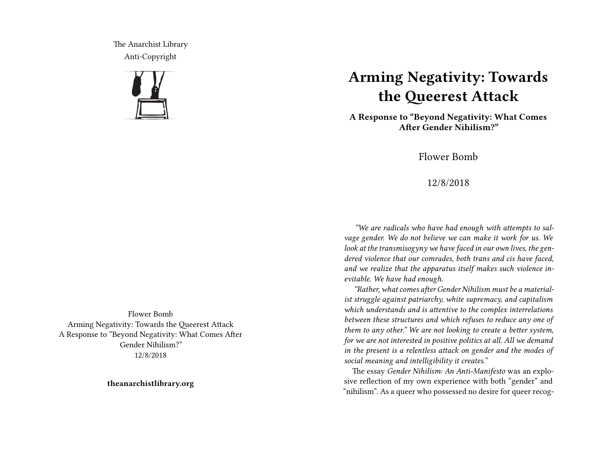The Anarchist Library Anti-Copyright



**Arming Negativity: Towards the Queerest Attack**

**A Response to "Beyond Negativity: What Comes After Gender Nihilism?"**

Flower Bomb

12/8/2018

*"We are radicals who have had enough with attempts to salvage gender. We do not believe we can make it work for us. We look at the transmisogyny we have faced in our own lives, the gendered violence that our comrades, both trans and cis have faced, and we realize that the apparatus itself makes such violence inevitable. We have had enough.*

*"Rather, what comes after Gender Nihilism must be a materialist struggle against patriarchy, white supremacy, and capitalism which understands and is attentive to the complex interrelations between these structures and which refuses to reduce any one of them to any other." We are not looking to create a better system, for we are not interested in positive politics at all. All we demand in the present is a relentless attack on gender and the modes of social meaning and intelligibility it creates."*

The essay *Gender Nihilism: An Anti-Manifesto* was an explosive reflection of my own experience with both "gender" and "nihilism". As a queer who possessed no desire for queer recog-

Flower Bomb Arming Negativity: Towards the Queerest Attack A Response to "Beyond Negativity: What Comes After Gender Nihilism?" 12/8/2018

**theanarchistlibrary.org**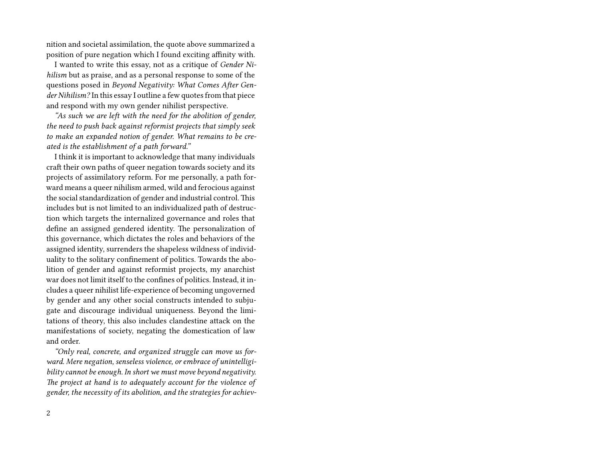nition and societal assimilation, the quote above summarized a position of pure negation which I found exciting affinity with.

I wanted to write this essay, not as a critique of *Gender Nihilism* but as praise, and as a personal response to some of the questions posed in *Beyond Negativity: What Comes After Gender Nihilism?* In this essay I outline a few quotes from that piece and respond with my own gender nihilist perspective.

*"As such we are left with the need for the abolition of gender, the need to push back against reformist projects that simply seek to make an expanded notion of gender. What remains to be created is the establishment of a path forward."*

I think it is important to acknowledge that many individuals craft their own paths of queer negation towards society and its projects of assimilatory reform. For me personally, a path forward means a queer nihilism armed, wild and ferocious against the social standardization of gender and industrial control. This includes but is not limited to an individualized path of destruction which targets the internalized governance and roles that define an assigned gendered identity. The personalization of this governance, which dictates the roles and behaviors of the assigned identity, surrenders the shapeless wildness of individuality to the solitary confinement of politics. Towards the abolition of gender and against reformist projects, my anarchist war does not limit itself to the confines of politics. Instead, it includes a queer nihilist life-experience of becoming ungoverned by gender and any other social constructs intended to subjugate and discourage individual uniqueness. Beyond the limitations of theory, this also includes clandestine attack on the manifestations of society, negating the domestication of law and order.

*"Only real, concrete, and organized struggle can move us forward. Mere negation, senseless violence, or embrace of unintelligibility cannot be enough. In short we must move beyond negativity. The project at hand is to adequately account for the violence of gender, the necessity of its abolition, and the strategies for achiev-*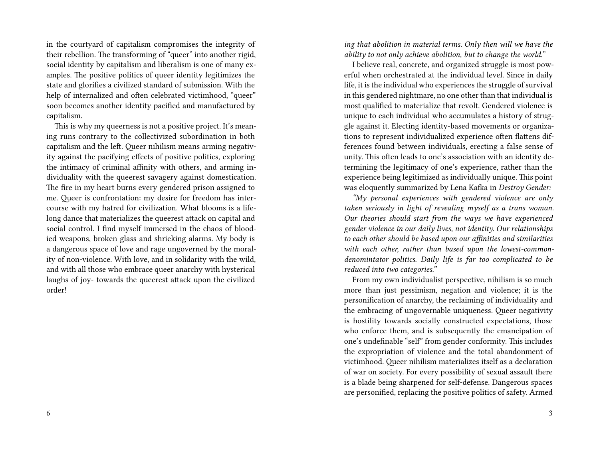in the courtyard of capitalism compromises the integrity of their rebellion. The transforming of "queer" into another rigid, social identity by capitalism and liberalism is one of many examples. The positive politics of queer identity legitimizes the state and glorifies a civilized standard of submission. With the help of internalized and often celebrated victimhood, "queer" soon becomes another identity pacified and manufactured by capitalism.

This is why my queerness is not a positive project. It's meaning runs contrary to the collectivized subordination in both capitalism and the left. Queer nihilism means arming negativity against the pacifying effects of positive politics, exploring the intimacy of criminal affinity with others, and arming individuality with the queerest savagery against domestication. The fire in my heart burns every gendered prison assigned to me. Queer is confrontation: my desire for freedom has intercourse with my hatred for civilization. What blooms is a lifelong dance that materializes the queerest attack on capital and social control. I find myself immersed in the chaos of bloodied weapons, broken glass and shrieking alarms. My body is a dangerous space of love and rage ungoverned by the morality of non-violence. With love, and in solidarity with the wild, and with all those who embrace queer anarchy with hysterical laughs of joy- towards the queerest attack upon the civilized order!

*ing that abolition in material terms. Only then will we have the ability to not only achieve abolition, but to change the world."*

I believe real, concrete, and organized struggle is most powerful when orchestrated at the individual level. Since in daily life, it is the individual who experiences the struggle of survival in this gendered nightmare, no one other than that individual is most qualified to materialize that revolt. Gendered violence is unique to each individual who accumulates a history of struggle against it. Electing identity-based movements or organizations to represent individualized experience often flattens differences found between individuals, erecting a false sense of unity. This often leads to one's association with an identity determining the legitimacy of one's experience, rather than the experience being legitimized as individually unique. This point was eloquently summarized by Lena Kafka in *Destroy Gender:*

*"My personal experiences with gendered violence are only taken seriously in light of revealing myself as a trans woman. Our theories should start from the ways we have experienced gender violence in our daily lives, not identity. Our relationships to each other should be based upon our affinities and similarities with each other, rather than based upon the lowest-commondenomintator politics. Daily life is far too complicated to be reduced into two categories."*

From my own individualist perspective, nihilism is so much more than just pessimism, negation and violence; it is the personification of anarchy, the reclaiming of individuality and the embracing of ungovernable uniqueness. Queer negativity is hostility towards socially constructed expectations, those who enforce them, and is subsequently the emancipation of one's undefinable "self" from gender conformity. This includes the expropriation of violence and the total abandonment of victimhood. Queer nihilism materializes itself as a declaration of war on society. For every possibility of sexual assault there is a blade being sharpened for self-defense. Dangerous spaces are personified, replacing the positive politics of safety. Armed